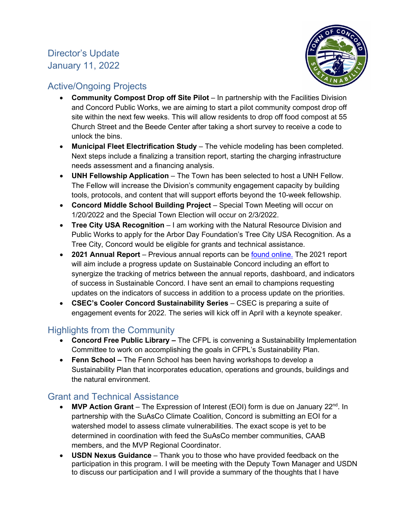# Director's Update January 11, 2022



## Active/Ongoing Projects

- **Community Compost Drop off Site Pilot**  In partnership with the Facilities Division and Concord Public Works, we are aiming to start a pilot community compost drop off site within the next few weeks. This will allow residents to drop off food compost at 55 Church Street and the Beede Center after taking a short survey to receive a code to unlock the bins.
- **Municipal Fleet Electrification Study** The vehicle modeling has been completed. Next steps include a finalizing a transition report, starting the charging infrastructure needs assessment and a financing analysis.
- **UNH Fellowship Application** The Town has been selected to host a UNH Fellow. The Fellow will increase the Division's community engagement capacity by building tools, protocols, and content that will support efforts beyond the 10-week fellowship.
- **Concord Middle School Building Project** Special Town Meeting will occur on 1/20/2022 and the Special Town Election will occur on 2/3/2022.
- **Tree City USA Recognition**  I am working with the Natural Resource Division and Public Works to apply for the Arbor Day Foundation's Tree City USA Recognition. As a Tree City, Concord would be eligible for grants and technical assistance.
- **2021 Annual Report** Previous annual reports can be [found online.](https://concordma.gov/2192/Reports-and-Resources) The 2021 report will aim include a progress update on Sustainable Concord including an effort to synergize the tracking of metrics between the annual reports, dashboard, and indicators of success in Sustainable Concord. I have sent an email to champions requesting updates on the indicators of success in addition to a process update on the priorities.
- **CSEC's Cooler Concord Sustainability Series**  CSEC is preparing a suite of engagement events for 2022. The series will kick off in April with a keynote speaker.

### Highlights from the Community

- **Concord Free Public Library –** The CFPL is convening a Sustainability Implementation Committee to work on accomplishing the goals in CFPL's Sustainability Plan.
- **Fenn School –** The Fenn School has been having workshops to develop a Sustainability Plan that incorporates education, operations and grounds, buildings and the natural environment.

# Grant and Technical Assistance

- **MVP Action Grant** The Expression of Interest (EOI) form is due on January 22<sup>nd</sup>. In partnership with the SuAsCo Climate Coalition, Concord is submitting an EOI for a watershed model to assess climate vulnerabilities. The exact scope is yet to be determined in coordination with feed the SuAsCo member communities, CAAB members, and the MVP Regional Coordinator.
- **USDN Nexus Guidance** Thank you to those who have provided feedback on the participation in this program. I will be meeting with the Deputy Town Manager and USDN to discuss our participation and I will provide a summary of the thoughts that I have